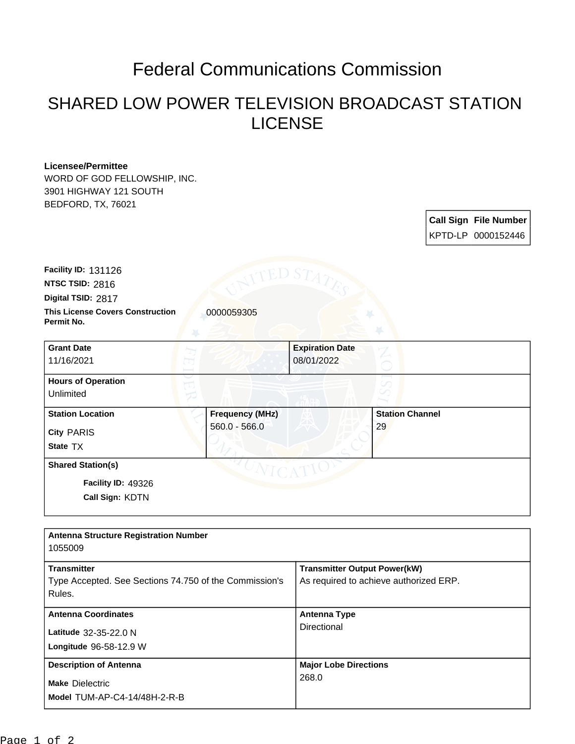## Federal Communications Commission

## SHARED LOW POWER TELEVISION BROADCAST STATION LICENSE

## **Licensee/Permittee**

WORD OF GOD FELLOWSHIP, INC. 3901 HIGHWAY 121 SOUTH BEDFORD, TX, 76021

| <b>Call Sign File Number</b> |
|------------------------------|
| KPTD-LP 0000152446           |

**This License Covers Construction**  0000059305 **Permit No. Digital TSID:** 2817 **NTSC TSID:** 2816 **Facility ID:** 131126

| <b>Grant Date</b><br>11/16/2021                                   |                                           | <b>Expiration Date</b><br>08/01/2022 |  |
|-------------------------------------------------------------------|-------------------------------------------|--------------------------------------|--|
| <b>Hours of Operation</b><br>Unlimited                            |                                           |                                      |  |
| <b>Station Location</b><br><b>City PARIS</b><br>State TX          | <b>Frequency (MHz)</b><br>$560.0 - 566.0$ | <b>Station Channel</b><br>29         |  |
| <b>Shared Station(s)</b><br>Facility ID: 49326<br>Call Sign: KDTN |                                           |                                      |  |

| <b>Antenna Structure Registration Number</b><br>1055009                      |                                                                               |
|------------------------------------------------------------------------------|-------------------------------------------------------------------------------|
| <b>Transmitter</b><br>Type Accepted. See Sections 74.750 of the Commission's | <b>Transmitter Output Power(kW)</b><br>As required to achieve authorized ERP. |
| Rules.                                                                       |                                                                               |
| <b>Antenna Coordinates</b>                                                   | <b>Antenna Type</b>                                                           |
| Latitude 32-35-22.0 N                                                        | Directional                                                                   |
| Longitude 96-58-12.9 W                                                       |                                                                               |
| <b>Description of Antenna</b>                                                | <b>Major Lobe Directions</b>                                                  |
| <b>Make Dielectric</b><br>Model TUM-AP-C4-14/48H-2-R-B                       | 268.0                                                                         |